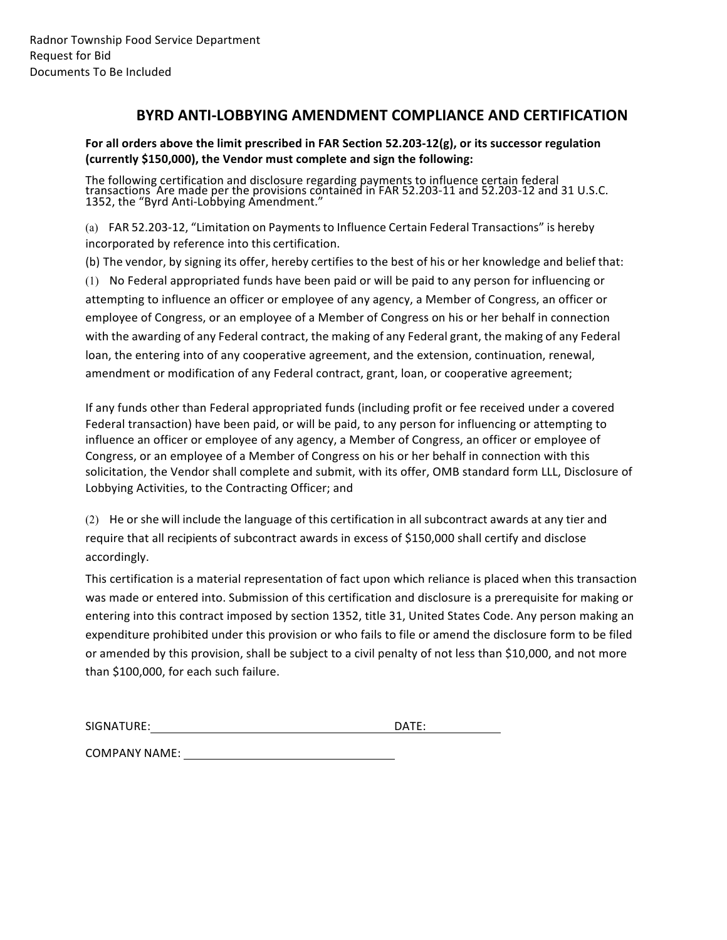## **BYRD ANTI-LOBBYING AMENDMENT COMPLIANCE AND CERTIFICATION**

For all orders above the limit prescribed in FAR Section 52.203-12(g), or its successor regulation **(currently \$150,000), the Vendor must complete and sign the following:**

The following certification and disclosure regarding payments to influence certain federal<br>transactions Are made per the provisions contained in FAR 52.203-11 and 52.203-12 and 31 U.S.C. 1352, the "Byrd Anti-Lobbying Amendment."

(a) FAR 52.203-12, "Limitation on Paymentsto Influence Certain Federal Transactions" is hereby incorporated by reference into this certification.

(b) The vendor, by signing its offer, hereby certifies to the best of his or her knowledge and belief that: (1) No Federal appropriated funds have been paid or will be paid to any person for influencing or attempting to influence an officer or employee of any agency, a Member of Congress, an officer or employee of Congress, or an employee of a Member of Congress on his or her behalf in connection with the awarding of any Federal contract, the making of any Federal grant, the making of any Federal loan, the entering into of any cooperative agreement, and the extension, continuation, renewal, amendment or modification of any Federal contract, grant, loan, or cooperative agreement;

If any funds other than Federal appropriated funds (including profit or fee received under a covered Federal transaction) have been paid, or will be paid, to any person for influencing or attempting to influence an officer or employee of any agency, a Member of Congress, an officer or employee of Congress, or an employee of a Member of Congress on his or her behalf in connection with this solicitation, the Vendor shall complete and submit, with its offer, OMB standard form LLL, Disclosure of Lobbying Activities, to the Contracting Officer; and

(2) He or she will include the language of this certification in all subcontract awards at any tier and require that all recipients of subcontract awards in excess of \$150,000 shall certify and disclose accordingly.

This certification is a material representation of fact upon which reliance is placed when this transaction was made or entered into. Submission of this certification and disclosure is a prerequisite for making or entering into this contract imposed by section 1352, title 31, United States Code. Any person making an expenditure prohibited under this provision or who fails to file or amend the disclosure form to be filed or amended by this provision, shall be subject to a civil penalty of not less than \$10,000, and not more than \$100,000, for each such failure.

| SIGNATURE: | <b>DATE</b> |  |  |
|------------|-------------|--|--|
|            |             |  |  |

COMPANY NAME: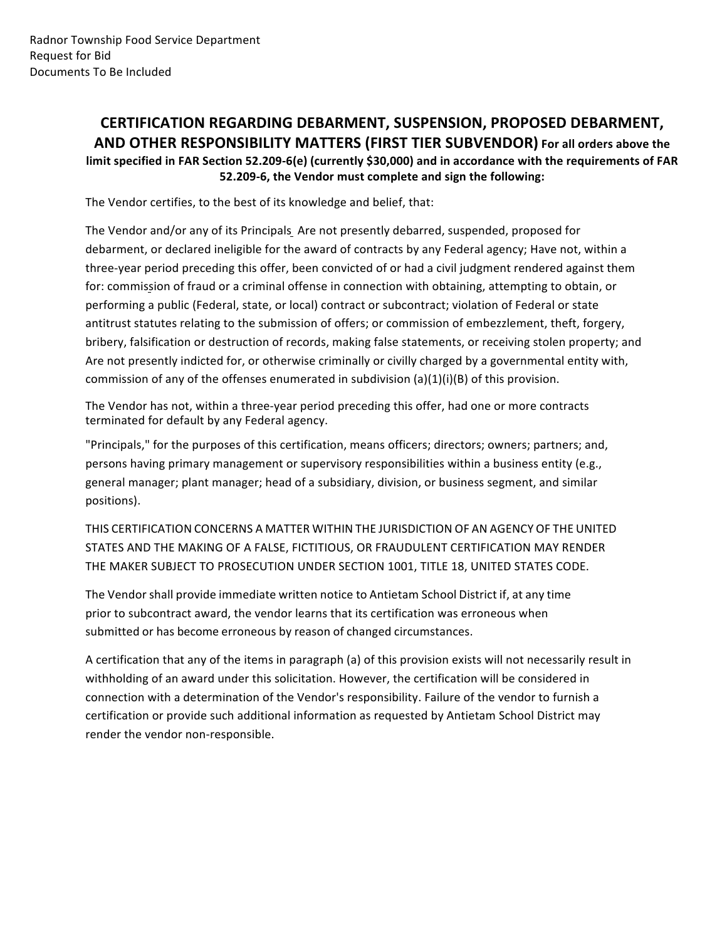# **CERTIFICATION REGARDING DEBARMENT, SUSPENSION, PROPOSED DEBARMENT, AND OTHER RESPONSIBILITY MATTERS (FIRST TIER SUBVENDOR)** For all orders above the limit specified in FAR Section 52.209-6(e) (currently \$30,000) and in accordance with the requirements of FAR **52.209-6, the Vendor must complete and sign the following:**

The Vendor certifies, to the best of its knowledge and belief, that:

The Vendor and/or any of its Principals Are not presently debarred, suspended, proposed for debarment, or declared ineligible for the award of contracts by any Federal agency; Have not, within a three-year period preceding this offer, been convicted of or had a civil judgment rendered against them for: commission of fraud or a criminal offense in connection with obtaining, attempting to obtain, or performing a public (Federal, state, or local) contract or subcontract; violation of Federal or state antitrust statutes relating to the submission of offers; or commission of embezzlement, theft, forgery, bribery, falsification or destruction of records, making false statements, or receiving stolen property; and Are not presently indicted for, or otherwise criminally or civilly charged by a governmental entity with, commission of any of the offenses enumerated in subdivision (a)(1)(i)(B) of this provision.

The Vendor has not, within a three-year period preceding this offer, had one or more contracts terminated for default by any Federal agency.

"Principals," for the purposes of this certification, means officers; directors; owners; partners; and, persons having primary management or supervisory responsibilities within a business entity (e.g., general manager; plant manager; head of a subsidiary, division, or business segment, and similar positions).

THIS CERTIFICATION CONCERNS A MATTER WITHIN THE JURISDICTION OF AN AGENCY OF THE UNITED STATES AND THE MAKING OF A FALSE, FICTITIOUS, OR FRAUDULENT CERTIFICATION MAY RENDER THE MAKER SUBJECT TO PROSECUTION UNDER SECTION 1001, TITLE 18, UNITED STATES CODE.

The Vendor shall provide immediate written notice to Antietam School District if, at any time prior to subcontract award, the vendor learns that its certification was erroneous when submitted or has become erroneous by reason of changed circumstances.

A certification that any of the items in paragraph (a) of this provision exists will not necessarily result in withholding of an award under this solicitation. However, the certification will be considered in connection with a determination of the Vendor's responsibility. Failure of the vendor to furnish a certification or provide such additional information as requested by Antietam School District may render the vendor non-responsible.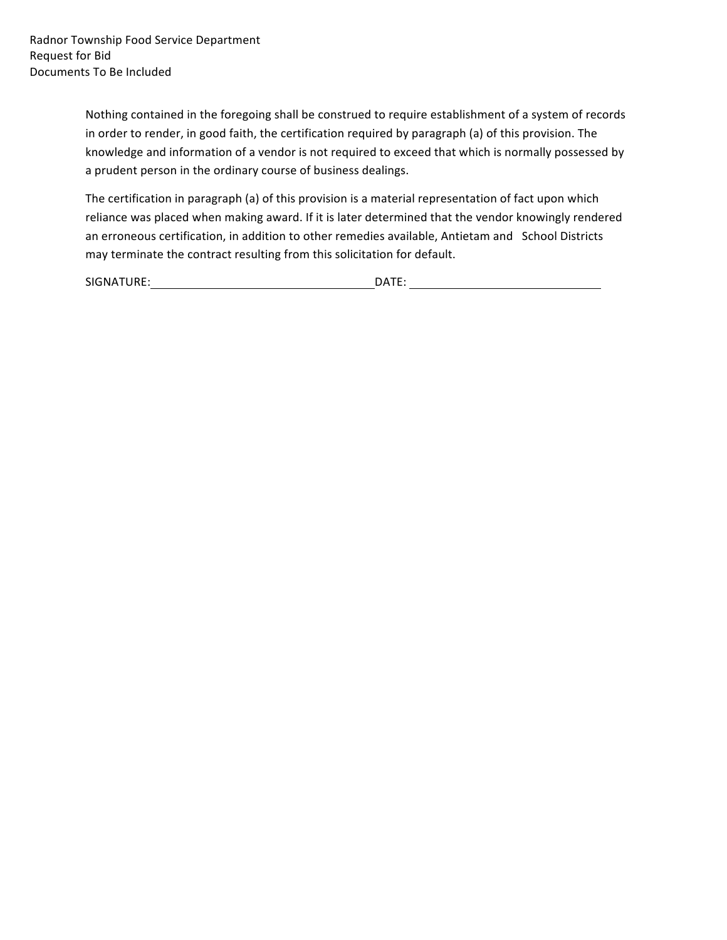Nothing contained in the foregoing shall be construed to require establishment of a system of records in order to render, in good faith, the certification required by paragraph (a) of this provision. The knowledge and information of a vendor is not required to exceed that which is normally possessed by a prudent person in the ordinary course of business dealings.

The certification in paragraph (a) of this provision is a material representation of fact upon which reliance was placed when making award. If it is later determined that the vendor knowingly rendered an erroneous certification, in addition to other remedies available, Antietam and School Districts may terminate the contract resulting from this solicitation for default.

SIGNATURE: DATE: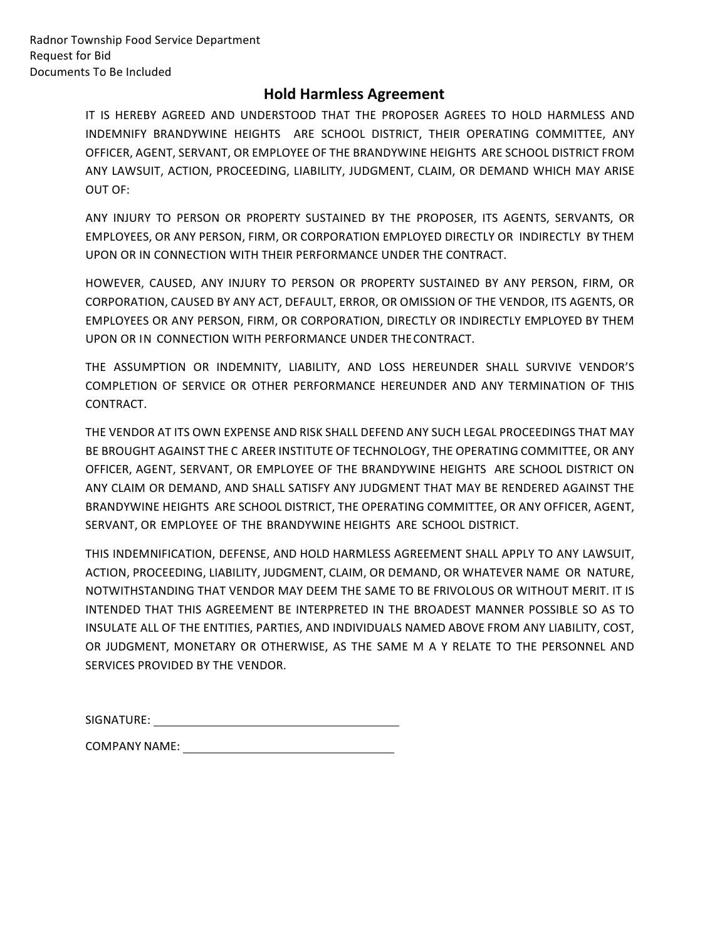## **Hold Harmless Agreement**

IT IS HEREBY AGREED AND UNDERSTOOD THAT THE PROPOSER AGREES TO HOLD HARMLESS AND INDEMNIFY BRANDYWINE HEIGHTS ARE SCHOOL DISTRICT, THEIR OPERATING COMMITTEE, ANY OFFICER, AGENT, SERVANT, OR EMPLOYEE OF THE BRANDYWINE HEIGHTS ARE SCHOOL DISTRICT FROM ANY LAWSUIT, ACTION, PROCEEDING, LIABILITY, JUDGMENT, CLAIM, OR DEMAND WHICH MAY ARISE OUT OF:

ANY INJURY TO PERSON OR PROPERTY SUSTAINED BY THE PROPOSER, ITS AGENTS, SERVANTS, OR EMPLOYEES, OR ANY PERSON, FIRM, OR CORPORATION EMPLOYED DIRECTLY OR INDIRECTLY BY THEM UPON OR IN CONNECTION WITH THEIR PERFORMANCE UNDER THE CONTRACT.

HOWEVER, CAUSED, ANY INJURY TO PERSON OR PROPERTY SUSTAINED BY ANY PERSON, FIRM, OR CORPORATION, CAUSED BY ANY ACT, DEFAULT, ERROR, OR OMISSION OF THE VENDOR, ITS AGENTS, OR EMPLOYEES OR ANY PERSON, FIRM, OR CORPORATION, DIRECTLY OR INDIRECTLY EMPLOYED BY THEM UPON OR IN CONNECTION WITH PERFORMANCE UNDER THE CONTRACT.

THE ASSUMPTION OR INDEMNITY, LIABILITY, AND LOSS HEREUNDER SHALL SURVIVE VENDOR'S COMPLETION OF SERVICE OR OTHER PERFORMANCE HEREUNDER AND ANY TERMINATION OF THIS CONTRACT.

THE VENDOR AT ITS OWN EXPENSE AND RISK SHALL DEFEND ANY SUCH LEGAL PROCEEDINGS THAT MAY BE BROUGHT AGAINST THE C AREER INSTITUTE OF TECHNOLOGY, THE OPERATING COMMITTEE, OR ANY OFFICER, AGENT, SERVANT, OR EMPLOYEE OF THE BRANDYWINE HEIGHTS ARE SCHOOL DISTRICT ON ANY CLAIM OR DEMAND, AND SHALL SATISFY ANY JUDGMENT THAT MAY BE RENDERED AGAINST THE BRANDYWINE HEIGHTS ARE SCHOOL DISTRICT, THE OPERATING COMMITTEE, OR ANY OFFICER, AGENT, SERVANT, OR EMPLOYEE OF THE BRANDYWINE HEIGHTS ARE SCHOOL DISTRICT.

THIS INDEMNIFICATION, DEFENSE, AND HOLD HARMLESS AGREEMENT SHALL APPLY TO ANY LAWSUIT, ACTION, PROCEEDING, LIABILITY, JUDGMENT, CLAIM, OR DEMAND, OR WHATEVER NAME OR NATURE, NOTWITHSTANDING THAT VENDOR MAY DEEM THE SAME TO BE FRIVOLOUS OR WITHOUT MERIT. IT IS INTENDED THAT THIS AGREEMENT BE INTERPRETED IN THE BROADEST MANNER POSSIBLE SO AS TO INSULATE ALL OF THE ENTITIES, PARTIES, AND INDIVIDUALS NAMED ABOVE FROM ANY LIABILITY, COST, OR JUDGMENT, MONETARY OR OTHERWISE, AS THE SAME M A Y RELATE TO THE PERSONNEL AND SERVICES PROVIDED BY THE VENDOR.

COMPANY NAME: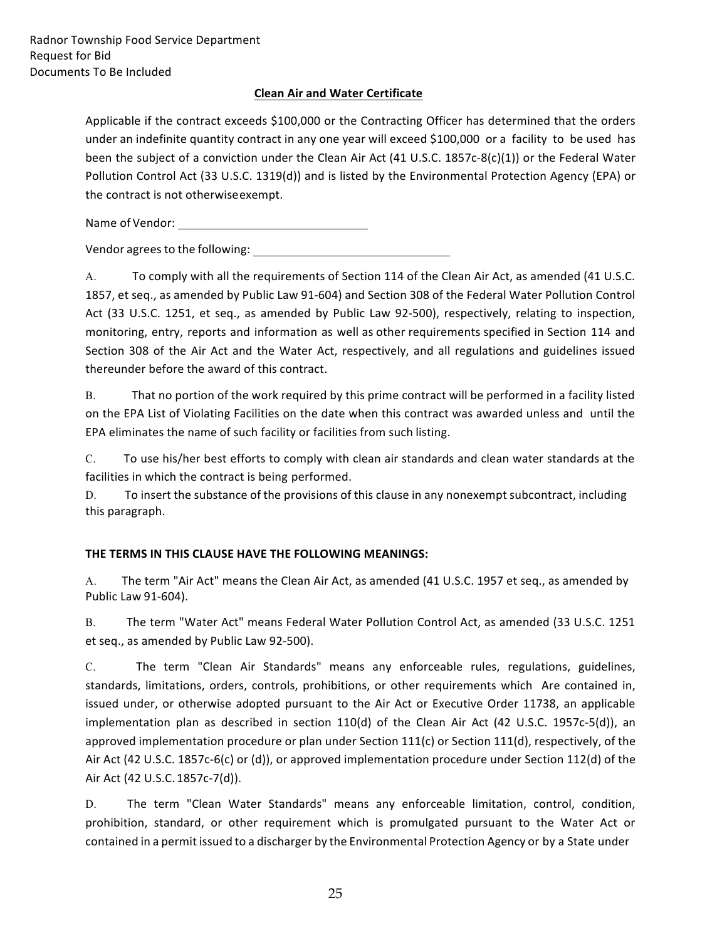### **Clean Air and Water Certificate**

Applicable if the contract exceeds \$100,000 or the Contracting Officer has determined that the orders under an indefinite quantity contract in any one year will exceed \$100,000 or a facility to be used has been the subject of a conviction under the Clean Air Act  $(41 \text{ U.S.C. } 1857c-8(c)(1))$  or the Federal Water Pollution Control Act (33 U.S.C. 1319(d)) and is listed by the Environmental Protection Agency (EPA) or the contract is not otherwise exempt.

Name of Vendor:

Vendor agrees to the following:

A. To comply with all the requirements of Section 114 of the Clean Air Act, as amended (41 U.S.C. 1857, et seq., as amended by Public Law 91-604) and Section 308 of the Federal Water Pollution Control Act (33 U.S.C. 1251, et seq., as amended by Public Law 92-500), respectively, relating to inspection, monitoring, entry, reports and information as well as other requirements specified in Section 114 and Section 308 of the Air Act and the Water Act, respectively, and all regulations and guidelines issued thereunder before the award of this contract.

B. That no portion of the work required by this prime contract will be performed in a facility listed on the EPA List of Violating Facilities on the date when this contract was awarded unless and until the EPA eliminates the name of such facility or facilities from such listing.

C. To use his/her best efforts to comply with clean air standards and clean water standards at the facilities in which the contract is being performed.

D. To insert the substance of the provisions of this clause in any nonexempt subcontract, including this paragraph.

#### THE TERMS IN THIS CLAUSE HAVE THE FOLLOWING MEANINGS:

A. The term "Air Act" means the Clean Air Act, as amended (41 U.S.C. 1957 et seq., as amended by Public Law 91-604).

B. The term "Water Act" means Federal Water Pollution Control Act, as amended (33 U.S.C. 1251) et seq., as amended by Public Law 92-500).

C. The term "Clean Air Standards" means any enforceable rules, regulations, guidelines, standards, limitations, orders, controls, prohibitions, or other requirements which Are contained in, issued under, or otherwise adopted pursuant to the Air Act or Executive Order 11738, an applicable implementation plan as described in section  $110(d)$  of the Clean Air Act (42 U.S.C. 1957c-5(d)), an approved implementation procedure or plan under Section 111(c) or Section 111(d), respectively, of the Air Act (42 U.S.C. 1857c-6(c) or (d)), or approved implementation procedure under Section 112(d) of the Air Act (42 U.S.C. 1857c-7(d)).

D. The term "Clean Water Standards" means any enforceable limitation, control, condition, prohibition, standard, or other requirement which is promulgated pursuant to the Water Act or contained in a permit issued to a discharger by the Environmental Protection Agency or by a State under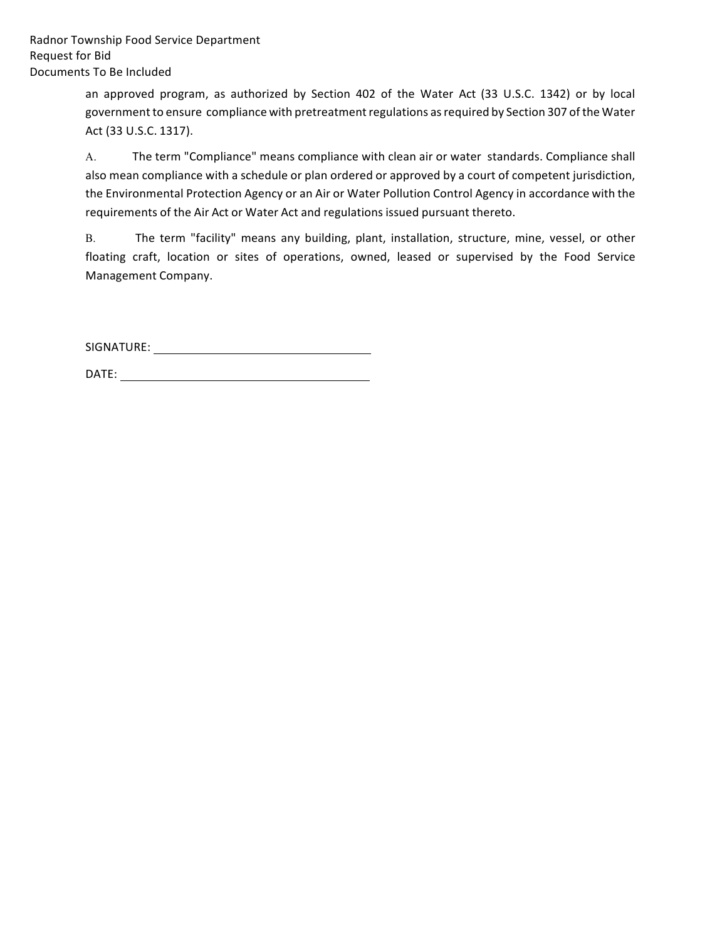Radnor Township Food Service Department Request for Bid Documents To Be Included

> an approved program, as authorized by Section 402 of the Water Act (33 U.S.C. 1342) or by local government to ensure compliance with pretreatment regulations as required by Section 307 of the Water Act (33 U.S.C. 1317).

> A. The term "Compliance" means compliance with clean air or water standards. Compliance shall also mean compliance with a schedule or plan ordered or approved by a court of competent jurisdiction, the Environmental Protection Agency or an Air or Water Pollution Control Agency in accordance with the requirements of the Air Act or Water Act and regulations issued pursuant thereto.

> B. The term "facility" means any building, plant, installation, structure, mine, vessel, or other floating craft, location or sites of operations, owned, leased or supervised by the Food Service Management Company.

SIGNATURE:

DATE: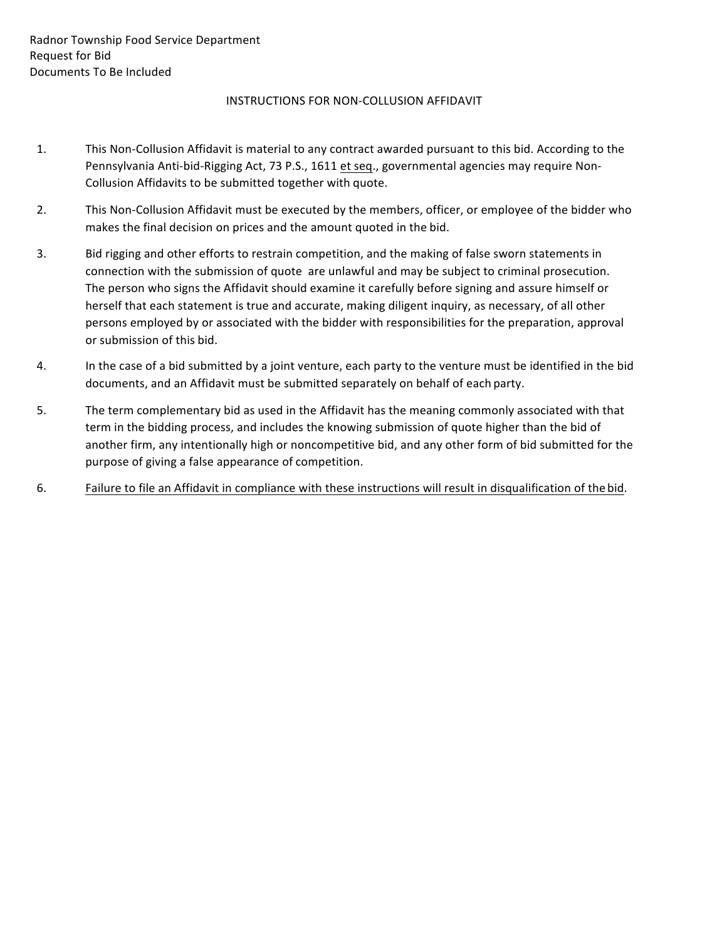#### INSTRUCTIONS FOR NON-COLLUSION AFFIDAVIT

- 1. This Non-Collusion Affidavit is material to any contract awarded pursuant to this bid. According to the Pennsylvania Anti-bid-Rigging Act, 73 P.S., 1611 et seq., governmental agencies may require Non-Collusion Affidavits to be submitted together with quote.
- 2. This Non-Collusion Affidavit must be executed by the members, officer, or employee of the bidder who makes the final decision on prices and the amount quoted in the bid.
- 3. Bid rigging and other efforts to restrain competition, and the making of false sworn statements in connection with the submission of quote are unlawful and may be subject to criminal prosecution. The person who signs the Affidavit should examine it carefully before signing and assure himself or herself that each statement is true and accurate, making diligent inquiry, as necessary, of all other persons employed by or associated with the bidder with responsibilities for the preparation, approval or submission of this bid.
- 4. In the case of a bid submitted by a joint venture, each party to the venture must be identified in the bid documents, and an Affidavit must be submitted separately on behalf of each party.
- 5. The term complementary bid as used in the Affidavit has the meaning commonly associated with that term in the bidding process, and includes the knowing submission of quote higher than the bid of another firm, any intentionally high or noncompetitive bid, and any other form of bid submitted for the purpose of giving a false appearance of competition.
- 6. Failure to file an Affidavit in compliance with these instructions will result in disqualification of the bid.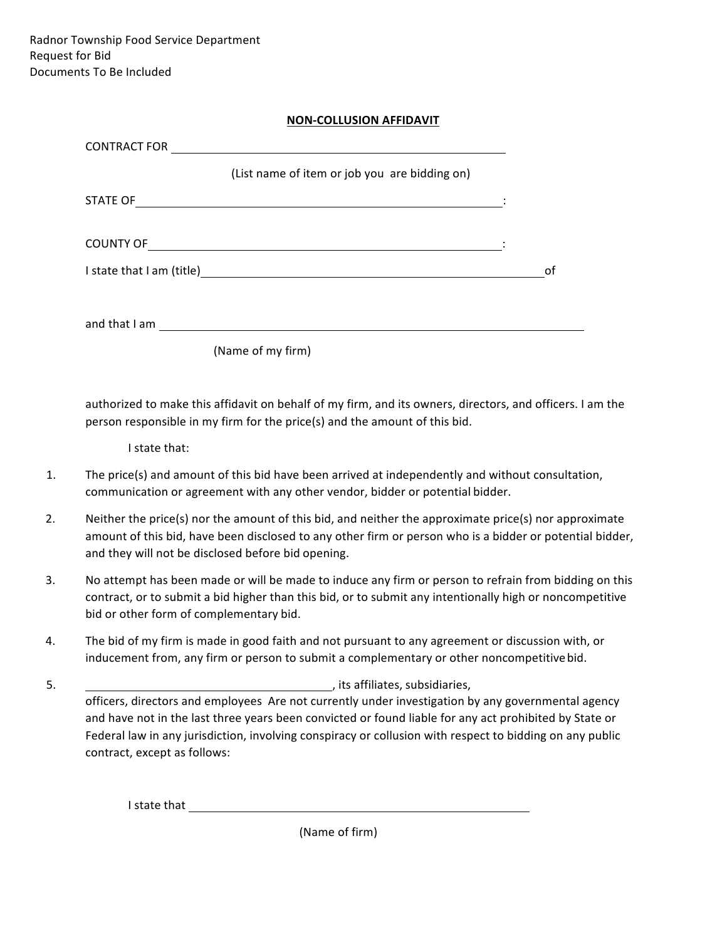Radnor Township Food Service Department Request for Bid Documents To Be Included

### **NON-COLLUSION AFFIDAVIT**

| <b>CONTRACT FOR</b> |                                                                                                                      |    |
|---------------------|----------------------------------------------------------------------------------------------------------------------|----|
|                     | (List name of item or job you are bidding on)                                                                        |    |
| STATE OF            | <u> 1980 - Johann Stein, marwolaethau a bhann an t-Amhair ann an t-Amhair an t-Amhair an t-Amhair an t-Amhair an</u> |    |
|                     |                                                                                                                      |    |
| <b>COUNTY OF</b>    | <u> 1989 - Johann Stoff, amerikansk politiker (d. 1989)</u>                                                          |    |
|                     |                                                                                                                      | оf |
|                     |                                                                                                                      |    |
|                     |                                                                                                                      |    |
|                     | (Name of my firm)                                                                                                    |    |

authorized to make this affidavit on behalf of my firm, and its owners, directors, and officers. I am the person responsible in my firm for the price(s) and the amount of this bid.

I state that:

- 1. The price(s) and amount of this bid have been arrived at independently and without consultation, communication or agreement with any other vendor, bidder or potential bidder.
- 2. Neither the price(s) nor the amount of this bid, and neither the approximate price(s) nor approximate amount of this bid, have been disclosed to any other firm or person who is a bidder or potential bidder, and they will not be disclosed before bid opening.
- 3. No attempt has been made or will be made to induce any firm or person to refrain from bidding on this contract, or to submit a bid higher than this bid, or to submit any intentionally high or noncompetitive bid or other form of complementary bid.
- 4. The bid of my firm is made in good faith and not pursuant to any agreement or discussion with, or inducement from, any firm or person to submit a complementary or other noncompetitive bid.
- 5.  $\qquad \qquad \qquad \qquad \qquad$  , its affiliates, subsidiaries, officers, directors and employees Are not currently under investigation by any governmental agency

and have not in the last three years been convicted or found liable for any act prohibited by State or Federal law in any jurisdiction, involving conspiracy or collusion with respect to bidding on any public contract, except as follows:

I state that **I** state that

(Name of firm)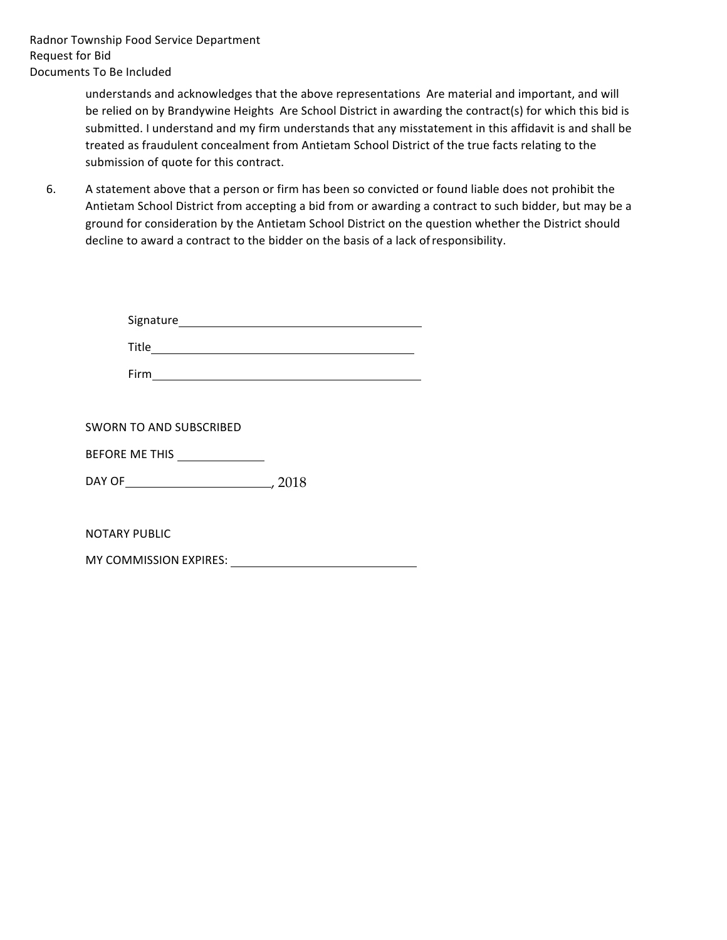Radnor Township Food Service Department Request for Bid Documents To Be Included

> understands and acknowledges that the above representations Are material and important, and will be relied on by Brandywine Heights Are School District in awarding the contract(s) for which this bid is submitted. I understand and my firm understands that any misstatement in this affidavit is and shall be treated as fraudulent concealment from Antietam School District of the true facts relating to the submission of quote for this contract.

6. A statement above that a person or firm has been so convicted or found liable does not prohibit the Antietam School District from accepting a bid from or awarding a contract to such bidder, but may be a ground for consideration by the Antietam School District on the question whether the District should decline to award a contract to the bidder on the basis of a lack of responsibility.

| Signature |  |  |  |
|-----------|--|--|--|
|           |  |  |  |

Title

Firm

SWORN TO AND SUBSCRIBED

BEFORE ME THIS \_\_\_\_\_\_\_\_\_\_\_\_\_\_\_\_\_ DAY OF , 2018

NOTARY PUBLIC

MY COMMISSION EXPIRES: